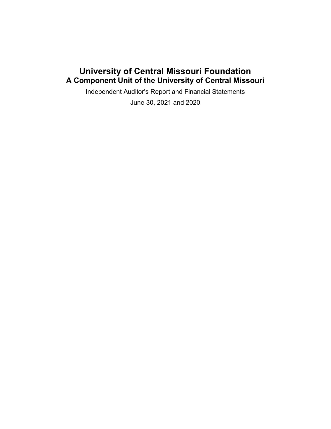# University of Central Missouri Foundation A Component Unit of the University of Central Missouri

Independent Auditor's Report and Financial Statements

June 30, 2021 and 2020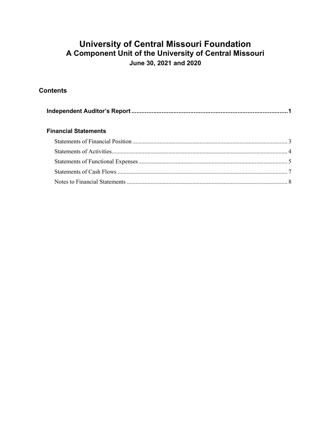# University of Central Missouri Foundation A Component Unit of the University of Central Missouri June 30, 2021 and 2020

## **Contents**

### Financial Statements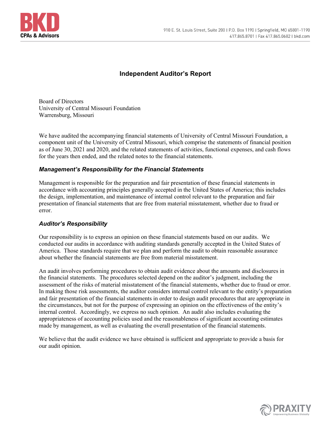

## Independent Auditor's Report

Board of Directors University of Central Missouri Foundation Warrensburg, Missouri

We have audited the accompanying financial statements of University of Central Missouri Foundation, a component unit of the University of Central Missouri, which comprise the statements of financial position as of June 30, 2021 and 2020, and the related statements of activities, functional expenses, and cash flows for the years then ended, and the related notes to the financial statements.

#### Management's Responsibility for the Financial Statements

Management is responsible for the preparation and fair presentation of these financial statements in accordance with accounting principles generally accepted in the United States of America; this includes the design, implementation, and maintenance of internal control relevant to the preparation and fair presentation of financial statements that are free from material misstatement, whether due to fraud or error.

#### Auditor's Responsibility

Our responsibility is to express an opinion on these financial statements based on our audits. We conducted our audits in accordance with auditing standards generally accepted in the United States of America. Those standards require that we plan and perform the audit to obtain reasonable assurance about whether the financial statements are free from material misstatement.

An audit involves performing procedures to obtain audit evidence about the amounts and disclosures in the financial statements. The procedures selected depend on the auditor's judgment, including the assessment of the risks of material misstatement of the financial statements, whether due to fraud or error. In making those risk assessments, the auditor considers internal control relevant to the entity's preparation and fair presentation of the financial statements in order to design audit procedures that are appropriate in the circumstances, but not for the purpose of expressing an opinion on the effectiveness of the entity's internal control. Accordingly, we express no such opinion. An audit also includes evaluating the appropriateness of accounting policies used and the reasonableness of significant accounting estimates made by management, as well as evaluating the overall presentation of the financial statements.

We believe that the audit evidence we have obtained is sufficient and appropriate to provide a basis for our audit opinion.

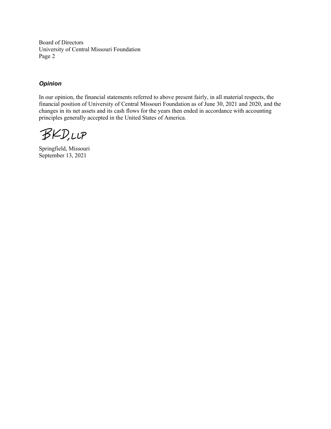Board of Directors University of Central Missouri Foundation Page 2

### **Opinion**

In our opinion, the financial statements referred to above present fairly, in all material respects, the financial position of University of Central Missouri Foundation as of June 30, 2021 and 2020, and the changes in its net assets and its cash flows for the years then ended in accordance with accounting principles generally accepted in the United States of America.

**BKD,LLP** 

Springfield, Missouri September 13, 2021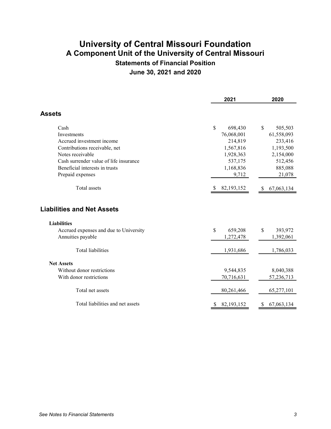| <b>University of Central Missouri Foundation</b><br>A Component Unit of the University of Central Missouri<br><b>Statements of Financial Position</b><br>June 30, 2021 and 2020 |                                                |                                              |
|---------------------------------------------------------------------------------------------------------------------------------------------------------------------------------|------------------------------------------------|----------------------------------------------|
|                                                                                                                                                                                 | 2021                                           | 2020                                         |
| Assets                                                                                                                                                                          |                                                |                                              |
| Cash<br>Investments<br>Accrued investment income                                                                                                                                | \$<br>698,430<br>76,068,001<br>214,819         | \$<br>505,503<br>61,558,093<br>233,416       |
| Contributions receivable, net<br>Notes receivable<br>Cash surrender value of life insurance<br>Beneficial interests in trusts                                                   | 1,567,816<br>1,928,363<br>537,175<br>1,168,836 | 1,193,500<br>2,154,000<br>512,456<br>885,088 |
| Prepaid expenses                                                                                                                                                                | 9,712                                          | 21,078                                       |
| Total assets                                                                                                                                                                    | 82, 193, 152                                   | 67,063,134<br>S.                             |
| <b>Liabilities and Net Assets</b>                                                                                                                                               |                                                |                                              |
| <b>Liabilities</b><br>Accrued expenses and due to University<br>Annuities payable                                                                                               | $\mathcal{S}$<br>659,208<br>1,272,478          | $\mathbb S$<br>393,972<br>1,392,061          |
| Total liabilities                                                                                                                                                               | 1,931,686                                      | 1,786,033                                    |
| <b>Net Assets</b><br>Without donor restrictions<br>With donor restrictions                                                                                                      | 9,544,835<br>70,716,631                        | 8,040,388<br>57,236,713                      |
| Total net assets                                                                                                                                                                | 80,261,466                                     | 65,277,101                                   |
| Total liabilities and net assets                                                                                                                                                |                                                | \$67,063,134                                 |
|                                                                                                                                                                                 | 82,193,152<br><sup>8</sup>                     |                                              |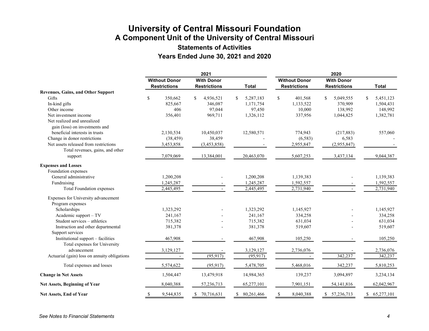# University of Central Missouri Foundation A Component Unit of the University of Central Missouri

|                                                                | A Component Unit of the University of Central Missouri | <b>Statements of Activities</b>                      |                                    |                            |                           |                               |
|----------------------------------------------------------------|--------------------------------------------------------|------------------------------------------------------|------------------------------------|----------------------------|---------------------------|-------------------------------|
|                                                                |                                                        |                                                      |                                    |                            |                           |                               |
|                                                                |                                                        |                                                      | Years Ended June 30, 2021 and 2020 |                            |                           |                               |
|                                                                |                                                        |                                                      |                                    |                            |                           |                               |
|                                                                | <b>Without Donor</b>                                   | 2021<br><b>With Donor</b>                            |                                    | <b>Without Donor</b>       | 2020<br><b>With Donor</b> |                               |
|                                                                | <b>Restrictions</b>                                    | <b>Restrictions</b>                                  | Total                              | <b>Restrictions</b>        | <b>Restrictions</b>       | Total                         |
| <b>Revenues, Gains, and Other Support</b>                      |                                                        |                                                      |                                    |                            |                           |                               |
| Gifts                                                          | 350,662<br>825,667                                     | S.<br>4,936,521<br>346,087                           | 5,287,183<br>S.<br>1,171,754       | S.<br>401,568<br>1,133,522 | \$5,049,555<br>370,909    | \$.<br>5,451,123<br>1,504,431 |
| In-kind gifts<br>Other income                                  | 406                                                    | 97,044                                               | 97,450                             | 10,000                     | 138,992                   | 148,992                       |
| Net investment income                                          | 356,401                                                | 969,711                                              | 1,326,112                          | 337,956                    | 1,044,825                 | 1,382,781                     |
| Net realized and unrealized                                    |                                                        |                                                      |                                    |                            |                           |                               |
| gain (loss) on investments and                                 |                                                        |                                                      |                                    |                            |                           |                               |
| beneficial interests in trusts<br>Change in donor restrictions | 2,130,534<br>(38, 459)                                 | 10,450,037<br>38,459                                 | 12,580,571                         | 774,943<br>(6,583)         | (217, 883)<br>6,583       | 557,060                       |
| Net assets released from restrictions                          | 3,453,858                                              | (3,453,858)                                          |                                    | 2,955,847                  | (2,955,847)               |                               |
| Total revenues, gains, and other                               |                                                        |                                                      |                                    |                            |                           |                               |
| support                                                        | 7,079,069                                              | 13,384,001                                           | 20,463,070                         | 5,607,253                  | 3,437,134                 | 9,044,387                     |
| <b>Expenses and Losses</b>                                     |                                                        |                                                      |                                    |                            |                           |                               |
| Foundation expenses                                            |                                                        |                                                      |                                    |                            |                           |                               |
| General administrative                                         | 1,200,208                                              |                                                      | 1,200,208                          | 1,139,383                  |                           | 1,139,383                     |
| Fundraising                                                    | 1,245,287                                              |                                                      | 1,245,287                          | 1,592,557                  |                           | 1,592,557                     |
| Total Foundation expenses                                      | 2,445,495                                              | $\sim$                                               | 2,445,495                          | 2,731,940                  | $\overline{\phantom{a}}$  | 2,731,940                     |
| Expenses for University advancement                            |                                                        |                                                      |                                    |                            |                           |                               |
| Program expenses<br>Scholarships                               | 1,323,292                                              |                                                      | 1,323,292                          | 1,145,927                  |                           | 1,145,927                     |
| Academic support - TV                                          | 241,167                                                | $\overline{\phantom{a}}$<br>$\overline{\phantom{a}}$ | 241,167                            | 334,258                    |                           | 334,258                       |
| Student services - athletics                                   | 715,382                                                | $\overline{\phantom{a}}$                             | 715,382                            | 631,034                    |                           | 631,034                       |
| Instruction and other departmental                             | 381,378                                                | $\overline{\phantom{a}}$                             | 381,378                            | 519,607                    | $\overline{\phantom{a}}$  | 519,607                       |
| Support services                                               |                                                        |                                                      |                                    |                            |                           |                               |
| Institutional support - facilities                             | 467,908                                                |                                                      | 467,908                            | 105,250                    | $\overline{\phantom{a}}$  | 105,250                       |
| Total expenses for University<br>advancement                   | 3,129,127                                              | $\overline{a}$                                       | 3,129,127                          | 2,736,076                  |                           | 2,736,076                     |
| Actuarial (gain) loss on annuity obligations                   | $\overline{\phantom{a}}$                               | (95, 917)                                            | (95, 917)                          |                            | 342,237                   | 342,237                       |
| Total expenses and losses                                      | 5,574,622                                              | (95, 917)                                            | 5,478,705                          | 5,468,016                  | 342,237                   | 5,810,253                     |
| <b>Change in Net Assets</b>                                    | 1,504,447                                              | 13,479,918                                           | 14,984,365                         | 139,237                    | 3,094,897                 | 3,234,134                     |
| Net Assets, Beginning of Year                                  | 8,040,388                                              | 57,236,713                                           | 65,277,101                         | 7,901,151                  | 54, 141, 816              | 62,042,967                    |
|                                                                |                                                        |                                                      |                                    |                            |                           |                               |
| Net Assets, End of Year                                        | 9,544,835                                              | \$ 70,716,631                                        | \$80,261,466                       | 8,040,388                  | \$57,236,713              | \$65,277,101                  |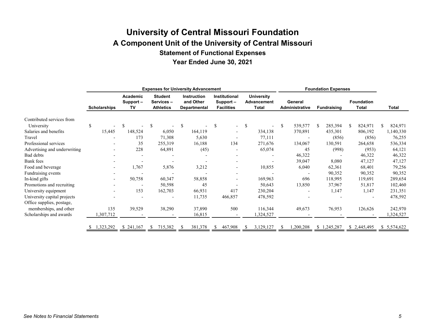# University of Central Missouri Foundation A Component Unit of the University of Central Missouri Statement of Functional Expenses Year Ended June 30, 2021

|                              |                          |                                          |                                                 |                                            | <b>Statement of Functional Expenses</b><br>Year Ended June 30, 2021 |                                    | A Component Unit of the University of Central Missouri |                            |                                   |               |
|------------------------------|--------------------------|------------------------------------------|-------------------------------------------------|--------------------------------------------|---------------------------------------------------------------------|------------------------------------|--------------------------------------------------------|----------------------------|-----------------------------------|---------------|
|                              |                          |                                          |                                                 | <b>Expenses for University Advancement</b> |                                                                     |                                    |                                                        | <b>Foundation Expenses</b> |                                   |               |
|                              | Scholarships             | Academic<br>Support -<br>TV              | <b>Student</b><br>Services-<br><b>Athletics</b> | Instruction<br>and Other<br>Departmental   | Institutional<br>Support –<br><b>Facilities</b>                     | University<br>Advancement<br>Total | General<br>Administrative                              | <b>Fundraising</b>         | <b>Foundation</b><br><b>Total</b> | Total         |
| Contributed services from    |                          |                                          |                                                 |                                            |                                                                     |                                    |                                                        |                            |                                   |               |
| University                   | \$                       | <sup>S</sup><br>$\overline{\phantom{a}}$ | - S<br>$\overline{\phantom{a}}$                 | <b>S</b><br>$\sim$                         | -S<br>$\sim$                                                        | - \$<br>$\overline{\phantom{a}}$   | 539,577<br>-S                                          | 285,394<br>-S              | 824,971<br>-S                     | 824,971<br>-S |
| Salaries and benefits        | 15,445                   | 148,524                                  | 6,050                                           | 164,119                                    | $\overline{\phantom{a}}$                                            | 334,138                            | 370,891                                                | 435,301                    | 806,192                           | 1,140,330     |
| Travel                       | $\overline{\phantom{0}}$ | 173                                      | 71,308                                          | 5,630                                      | $\overline{\phantom{a}}$                                            | 77,111                             | $\overline{\phantom{a}}$                               | (856)                      | (856)                             | 76,255        |
| Professional services        |                          | 35                                       | 255,319                                         | 16,188                                     | 134                                                                 | 271,676                            | 134,067                                                | 130,591                    | 264,658                           | 536,334       |
| Advertising and underwriting |                          | 228                                      | 64,891                                          | (45)                                       | $\sim$                                                              | 65,074                             | 45                                                     | (998)                      | (953)                             | 64,121        |
| Bad debts                    |                          | $\overline{\phantom{a}}$                 | $\overline{\phantom{m}}$                        | $\overline{\phantom{a}}$                   | $\overline{\phantom{a}}$                                            | $\overline{\phantom{a}}$           | 46,322                                                 | $\overline{\phantom{a}}$   | 46,322                            | 46,322        |
| <b>Bank</b> fees             |                          | $\sim$                                   | $\overline{\phantom{a}}$                        |                                            |                                                                     | $\overline{\phantom{a}}$           | 39,047                                                 | 8,080                      | 47,127                            | 47,127        |
| Food and beverage            | $\overline{\phantom{a}}$ | 1,767                                    | 5,876                                           | 3,212                                      | $\overline{\phantom{a}}$                                            | 10,855                             | 6,040                                                  | 62,361                     | 68,401                            | 79,256        |
| Fundraising events           | $\overline{\phantom{0}}$ | $\overline{\phantom{a}}$                 | $\overline{\phantom{0}}$                        |                                            | $\overline{\phantom{0}}$                                            | $\overline{\phantom{a}}$           | $\overline{\phantom{a}}$                               | 90,352                     | 90,352                            | 90,352        |
| In-kind gifts                |                          | 50,758                                   | 60,347                                          | 58,858                                     |                                                                     | 169,963                            | 696                                                    | 118,995                    | 119,691                           | 289,654       |
| Promotions and recruiting    |                          | $\overline{\phantom{a}}$                 | 50,598                                          | 45                                         |                                                                     | 50,643                             | 13,850                                                 | 37,967                     | 51,817                            | 102,460       |
| University equipment         |                          | 153                                      | 162,703                                         | 66,931                                     | 417                                                                 | 230,204                            |                                                        | 1,147                      | 1,147                             | 231,351       |
| University capital projects  |                          | $\overline{\phantom{a}}$                 | $\overline{\phantom{a}}$                        | 11,735                                     | 466,857                                                             | 478,592                            |                                                        | $\overline{\phantom{a}}$   | $\overline{\phantom{a}}$          | 478,592       |
|                              |                          |                                          |                                                 |                                            |                                                                     |                                    |                                                        |                            |                                   |               |
| Office supplies, postage,    | 135                      | 39,529                                   | 38,290                                          | 37,890                                     | 500                                                                 | 116,344                            | 49,673                                                 | 76,953                     | 126,626                           | 242,970       |
| memberships, and other       |                          | $\sim$                                   | $\sim$                                          | 16,815                                     | $\sim$                                                              | 1,324,527                          | $\overline{a}$                                         | $\sim$                     | $\sim$                            | 1,324,527     |
| Scholarships and awards      | 1,307,712                |                                          |                                                 |                                            |                                                                     |                                    |                                                        |                            |                                   |               |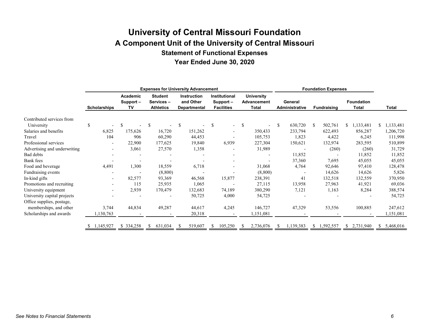# University of Central Missouri Foundation A Component Unit of the University of Central Missouri Statement of Functional Expenses Year Ended June 30, 2020

|                                                                              |                                           |                          |                                 |                                                                  | Year Ended June 30, 2020      |                                    |                           |                            |                          |                                |
|------------------------------------------------------------------------------|-------------------------------------------|--------------------------|---------------------------------|------------------------------------------------------------------|-------------------------------|------------------------------------|---------------------------|----------------------------|--------------------------|--------------------------------|
|                                                                              |                                           | Academic                 | <b>Student</b>                  | <b>Expenses for University Advancement</b><br><b>Instruction</b> | Institutional                 | <b>University</b>                  |                           | <b>Foundation Expenses</b> |                          |                                |
|                                                                              | Scholarships                              | Support-<br>TV           | Services-<br>Athletics          | and Other<br><b>Departmental</b>                                 | Support-<br><b>Facilities</b> | Advancement<br>Total               | General<br>Administrative | <b>Fundraising</b>         | Foundation<br>Total      | Total                          |
| Contributed services from                                                    |                                           |                          |                                 |                                                                  |                               |                                    |                           |                            |                          |                                |
| University                                                                   | <sup>\$</sup><br>$\overline{\phantom{a}}$ | -S<br>$\sim$             | - S<br>$\overline{\phantom{a}}$ | - S                                                              | - S                           | $-$ \$<br>$\overline{\phantom{a}}$ | 630,720<br>- \$           | 502,761<br>-S              | 1,133,481<br>-S          | \$1,133,481                    |
| Salaries and benefits                                                        | 6,825                                     | 175,626                  | 16,720                          | 151,262                                                          | $\overline{\phantom{a}}$      | 350,433                            | 233,794                   | 622,493                    | 856,287                  | 1,206,720                      |
| Travel                                                                       | 104                                       | 906                      | 60,290                          | 44,453                                                           | $\overline{\phantom{a}}$      | 105,753                            | 1,823                     | 4,422                      | 6,245                    | 111,998                        |
| Professional services                                                        | $\overline{\phantom{a}}$                  | 22,900                   | 177,625                         | 19,840                                                           | 6,939                         | 227,304                            | 150,621                   | 132,974                    | 283,595                  | 510,899                        |
| Advertising and underwriting                                                 | $\overline{\phantom{a}}$                  | 3,061                    | 27,570                          | 1,358                                                            | $\overline{\phantom{a}}$      | 31,989                             |                           | (260)                      | (260)                    | 31,729                         |
| Bad debts                                                                    | $\overline{\phantom{a}}$                  | $\overline{\phantom{a}}$ | $\overline{\phantom{a}}$        | $\overline{\phantom{a}}$                                         | $\overline{\phantom{a}}$      | $\overline{\phantom{0}}$           | 11,852                    | $\overline{\phantom{a}}$   | 11,852                   | 11,852                         |
|                                                                              | $\overline{\phantom{a}}$                  | $\overline{\phantom{a}}$ | $\overline{\phantom{a}}$        | $\overline{a}$                                                   |                               | $\overline{\phantom{a}}$           | 37,360                    | 7,695                      | 45,055                   | 45,055                         |
|                                                                              |                                           |                          | 18,559                          | 6,718                                                            | $\overline{\phantom{a}}$      | 31,068                             | 4,764                     | 92,646                     | 97,410                   | 128,478                        |
|                                                                              | 4,491                                     | 1,300                    |                                 |                                                                  |                               |                                    |                           |                            |                          |                                |
|                                                                              | $\overline{a}$                            | $\overline{\phantom{a}}$ | (8,800)                         |                                                                  | $\overline{\phantom{a}}$      | (8,800)                            | $\overline{\phantom{0}}$  | 14,626                     | 14,626                   | 5,826                          |
| <b>Bank</b> fees<br>Food and beverage<br>Fundraising events<br>In-kind gifts |                                           | 82,577                   | 93,369                          | 46,568                                                           | 15,877                        | 238,391                            | 41                        | 132,518                    | 132,559                  |                                |
| Promotions and recruiting                                                    |                                           | 115                      | 25,935                          | 1,065                                                            |                               | 27,115                             | 13,958                    | 27,963                     | 41,921                   | 370,950<br>69,036              |
| University equipment                                                         |                                           | 2,939                    | 170,479                         | 132,683                                                          | 74,189                        | 380,290                            | 7,121                     | 1,163                      | 8,284                    | 388,574                        |
| University capital projects                                                  |                                           |                          |                                 | 50,725                                                           | 4,000                         | 54,725                             |                           | $\overline{\phantom{a}}$   | $\overline{\phantom{a}}$ |                                |
| Office supplies, postage,                                                    |                                           |                          |                                 |                                                                  |                               |                                    |                           |                            |                          |                                |
| memberships, and other                                                       | 3,744                                     | 44,834                   | 49,287                          | 44,617                                                           | 4,245                         | 146,727                            | 47,329                    | 53,556                     | 100,885                  |                                |
| Scholarships and awards                                                      | 1,130,763                                 | $\overline{\phantom{a}}$ |                                 | 20,318                                                           | $\sim$                        | 1,151,081                          | $\overline{\phantom{a}}$  | $\sim$                     | $\sim$                   | 54,725<br>247,612<br>1,151,081 |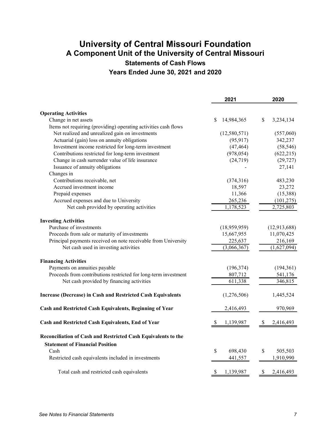# University of Central Missouri Foundation A Component Unit of the University of Central Missouri Statements of Cash Flows Years Ended June 30, 2021 and 2020

| <b>University of Central Missouri Foundation</b><br>A Component Unit of the University of Central Missouri<br><b>Statements of Cash Flows</b> |                        |               |                     |
|-----------------------------------------------------------------------------------------------------------------------------------------------|------------------------|---------------|---------------------|
|                                                                                                                                               |                        |               |                     |
|                                                                                                                                               |                        |               |                     |
|                                                                                                                                               |                        |               |                     |
|                                                                                                                                               |                        |               |                     |
|                                                                                                                                               |                        |               |                     |
| Years Ended June 30, 2021 and 2020                                                                                                            |                        |               |                     |
|                                                                                                                                               |                        |               |                     |
|                                                                                                                                               |                        |               |                     |
|                                                                                                                                               | 2021                   |               | 2020                |
|                                                                                                                                               |                        |               |                     |
| <b>Operating Activities</b>                                                                                                                   |                        |               |                     |
| Change in net assets                                                                                                                          | 14,984,365             | S.            | 3,234,134           |
| Items not requiring (providing) operating activities cash flows                                                                               |                        |               |                     |
| Net realized and unrealized gain on investments                                                                                               | (12, 580, 571)         |               | (557,060)           |
| Actuarial (gain) loss on annuity obligations                                                                                                  | (95, 917)              |               | 342,237             |
| Investment income restricted for long-term investment                                                                                         | (47, 464)              |               | (58, 546)           |
| Contributions restricted for long-term investment<br>Change in cash surrender value of life insurance                                         | (978, 054)<br>(24,719) |               | (622, 215)          |
| Issuance of annuity obligations                                                                                                               |                        |               | (29, 727)<br>27,141 |
| Changes in                                                                                                                                    |                        |               |                     |
| Contributions receivable, net                                                                                                                 | (374,316)              |               | 483,230             |
| Accrued investment income                                                                                                                     | 18,597                 |               | 23,272              |
| Prepaid expenses                                                                                                                              | 11,366                 |               | (15,388)            |
| Accrued expenses and due to University                                                                                                        | 265,236                |               | (101, 275)          |
| Net cash provided by operating activities                                                                                                     | 1,178,523              |               | 2,725,803           |
|                                                                                                                                               |                        |               |                     |
| <b>Investing Activities</b>                                                                                                                   |                        |               |                     |
| Purchase of investments                                                                                                                       | (18,959,959)           |               | (12,913,688)        |
| Proceeds from sale or maturity of investments                                                                                                 | 15,667,955             |               | 11,070,425          |
| Principal payments received on note receivable from University                                                                                | 225,637                |               | 216,169             |
| Net cash used in investing activities                                                                                                         | (3,066,367)            |               | (1,627,094)         |
| <b>Financing Activities</b>                                                                                                                   |                        |               |                     |
| Payments on annuities payable                                                                                                                 | (196, 374)             |               | (194, 361)          |
| Proceeds from contributions restricted for long-term investment                                                                               | 807,712                |               | 541,176             |
| Net cash provided by financing activities                                                                                                     | 611,338                |               | 346,815             |
|                                                                                                                                               |                        |               |                     |
| Increase (Decrease) in Cash and Restricted Cash Equivalents                                                                                   | (1,276,506)            |               | 1,445,524           |
| Cash and Restricted Cash Equivalents, Beginning of Year                                                                                       | 2,416,493              |               | 970,969             |
| Cash and Restricted Cash Equivalents, End of Year                                                                                             | 1,139,987              | $\mathcal{P}$ | 2,416,493           |
| Reconciliation of Cash and Restricted Cash Equivalents to the                                                                                 |                        |               |                     |
|                                                                                                                                               |                        |               |                     |
| <b>Statement of Financial Position</b><br>Cash                                                                                                | \$<br>698,430          | \$            | 505,503             |
| Restricted cash equivalents included in investments                                                                                           | 441,557                |               | 1,910,990           |
| Total cash and restricted cash equivalents                                                                                                    | 1,139,987              | \$            | 2,416,493           |
|                                                                                                                                               |                        |               |                     |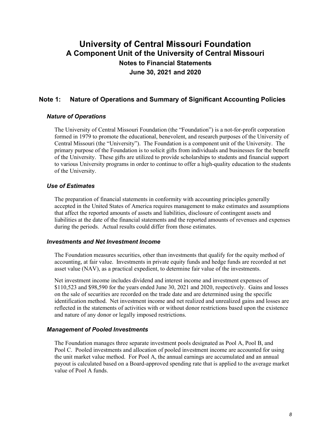## Note 1: Nature of Operations and Summary of Significant Accounting Policies

#### Nature of Operations

The University of Central Missouri Foundation (the "Foundation") is a not-for-profit corporation formed in 1979 to promote the educational, benevolent, and research purposes of the University of Central Missouri (the "University"). The Foundation is a component unit of the University. The primary purpose of the Foundation is to solicit gifts from individuals and businesses for the benefit of the University. These gifts are utilized to provide scholarships to students and financial support to various University programs in order to continue to offer a high-quality education to the students of the University.

#### Use of Estimates

The preparation of financial statements in conformity with accounting principles generally accepted in the United States of America requires management to make estimates and assumptions that affect the reported amounts of assets and liabilities, disclosure of contingent assets and liabilities at the date of the financial statements and the reported amounts of revenues and expenses during the periods. Actual results could differ from those estimates.

#### Investments and Net Investment Income

The Foundation measures securities, other than investments that qualify for the equity method of accounting, at fair value. Investments in private equity funds and hedge funds are recorded at net asset value (NAV), as a practical expedient, to determine fair value of the investments.

Net investment income includes dividend and interest income and investment expenses of \$110,523 and \$98,590 for the years ended June 30, 2021 and 2020, respectively. Gains and losses on the sale of securities are recorded on the trade date and are determined using the specific identification method. Net investment income and net realized and unrealized gains and losses are reflected in the statements of activities with or without donor restrictions based upon the existence and nature of any donor or legally imposed restrictions.

#### Management of Pooled Investments

The Foundation manages three separate investment pools designated as Pool A, Pool B, and Pool C. Pooled investments and allocation of pooled investment income are accounted for using the unit market value method. For Pool A, the annual earnings are accumulated and an annual payout is calculated based on a Board-approved spending rate that is applied to the average market value of Pool A funds.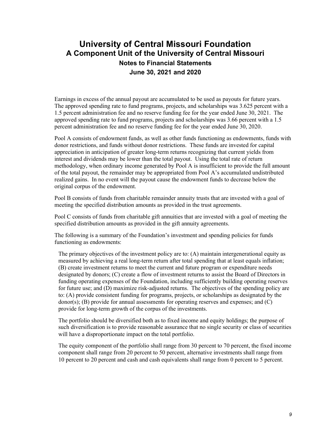Earnings in excess of the annual payout are accumulated to be used as payouts for future years. The approved spending rate to fund programs, projects, and scholarships was 3.625 percent with a 1.5 percent administration fee and no reserve funding fee for the year ended June 30, 2021. The approved spending rate to fund programs, projects and scholarships was 3.66 percent with a 1.5 percent administration fee and no reserve funding fee for the year ended June 30, 2020.

Pool A consists of endowment funds, as well as other funds functioning as endowments, funds with donor restrictions, and funds without donor restrictions. These funds are invested for capital appreciation in anticipation of greater long-term returns recognizing that current yields from interest and dividends may be lower than the total payout. Using the total rate of return methodology, when ordinary income generated by Pool A is insufficient to provide the full amount of the total payout, the remainder may be appropriated from Pool A's accumulated undistributed realized gains. In no event will the payout cause the endowment funds to decrease below the original corpus of the endowment.

Pool B consists of funds from charitable remainder annuity trusts that are invested with a goal of meeting the specified distribution amounts as provided in the trust agreements.

Pool C consists of funds from charitable gift annuities that are invested with a goal of meeting the specified distribution amounts as provided in the gift annuity agreements.

The following is a summary of the Foundation's investment and spending policies for funds functioning as endowments:

The primary objectives of the investment policy are to: (A) maintain intergenerational equity as measured by achieving a real long-term return after total spending that at least equals inflation; (B) create investment returns to meet the current and future program or expenditure needs designated by donors; (C) create a flow of investment returns to assist the Board of Directors in funding operating expenses of the Foundation, including sufficiently building operating reserves for future use; and (D) maximize risk-adjusted returns. The objectives of the spending policy are to: (A) provide consistent funding for programs, projects, or scholarships as designated by the donor(s); (B) provide for annual assessments for operating reserves and expenses; and (C) provide for long-term growth of the corpus of the investments.

The portfolio should be diversified both as to fixed income and equity holdings; the purpose of such diversification is to provide reasonable assurance that no single security or class of securities will have a disproportionate impact on the total portfolio.

The equity component of the portfolio shall range from 30 percent to 70 percent, the fixed income component shall range from 20 percent to 50 percent, alternative investments shall range from 10 percent to 20 percent and cash and cash equivalents shall range from 0 percent to 5 percent.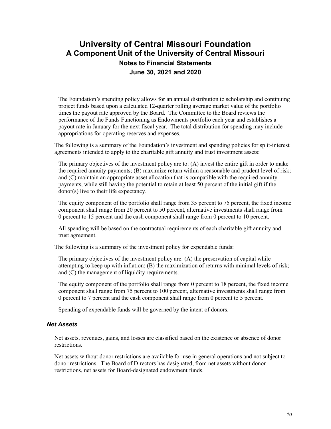The Foundation's spending policy allows for an annual distribution to scholarship and continuing project funds based upon a calculated 12-quarter rolling average market value of the portfolio times the payout rate approved by the Board. The Committee to the Board reviews the performance of the Funds Functioning as Endowments portfolio each year and establishes a payout rate in January for the next fiscal year. The total distribution for spending may include appropriations for operating reserves and expenses.

The following is a summary of the Foundation's investment and spending policies for split-interest agreements intended to apply to the charitable gift annuity and trust investment assets:

The primary objectives of the investment policy are to: (A) invest the entire gift in order to make the required annuity payments; (B) maximize return within a reasonable and prudent level of risk; and (C) maintain an appropriate asset allocation that is compatible with the required annuity payments, while still having the potential to retain at least 50 percent of the initial gift if the donor(s) live to their life expectancy.

The equity component of the portfolio shall range from 35 percent to 75 percent, the fixed income component shall range from 20 percent to 50 percent, alternative investments shall range from 0 percent to 15 percent and the cash component shall range from 0 percent to 10 percent.

All spending will be based on the contractual requirements of each charitable gift annuity and trust agreement.

The following is a summary of the investment policy for expendable funds:

The primary objectives of the investment policy are: (A) the preservation of capital while attempting to keep up with inflation; (B) the maximization of returns with minimal levels of risk; and (C) the management of liquidity requirements.

The equity component of the portfolio shall range from 0 percent to 18 percent, the fixed income component shall range from 75 percent to 100 percent, alternative investments shall range from 0 percent to 7 percent and the cash component shall range from 0 percent to 5 percent.

Spending of expendable funds will be governed by the intent of donors.

#### Net Assets

Net assets, revenues, gains, and losses are classified based on the existence or absence of donor restrictions.

Net assets without donor restrictions are available for use in general operations and not subject to donor restrictions. The Board of Directors has designated, from net assets without donor restrictions, net assets for Board-designated endowment funds.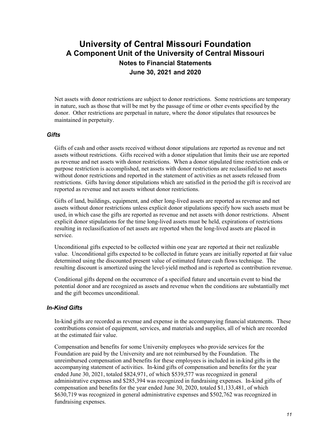Net assets with donor restrictions are subject to donor restrictions. Some restrictions are temporary in nature, such as those that will be met by the passage of time or other events specified by the donor. Other restrictions are perpetual in nature, where the donor stipulates that resources be maintained in perpetuity.

#### **Gifts**

Gifts of cash and other assets received without donor stipulations are reported as revenue and net assets without restrictions. Gifts received with a donor stipulation that limits their use are reported as revenue and net assets with donor restrictions. When a donor stipulated time restriction ends or purpose restriction is accomplished, net assets with donor restrictions are reclassified to net assets without donor restrictions and reported in the statement of activities as net assets released from restrictions. Gifts having donor stipulations which are satisfied in the period the gift is received are reported as revenue and net assets without donor restrictions.

Gifts of land, buildings, equipment, and other long-lived assets are reported as revenue and net assets without donor restrictions unless explicit donor stipulations specify how such assets must be used, in which case the gifts are reported as revenue and net assets with donor restrictions. Absent explicit donor stipulations for the time long-lived assets must be held, expirations of restrictions resulting in reclassification of net assets are reported when the long-lived assets are placed in service.

Unconditional gifts expected to be collected within one year are reported at their net realizable value. Unconditional gifts expected to be collected in future years are initially reported at fair value determined using the discounted present value of estimated future cash flows technique. The resulting discount is amortized using the level-yield method and is reported as contribution revenue.

Conditional gifts depend on the occurrence of a specified future and uncertain event to bind the potential donor and are recognized as assets and revenue when the conditions are substantially met and the gift becomes unconditional.

#### In-Kind Gifts

In-kind gifts are recorded as revenue and expense in the accompanying financial statements. These contributions consist of equipment, services, and materials and supplies, all of which are recorded at the estimated fair value.

Compensation and benefits for some University employees who provide services for the Foundation are paid by the University and are not reimbursed by the Foundation. The unreimbursed compensation and benefits for these employees is included in in-kind gifts in the accompanying statement of activities. In-kind gifts of compensation and benefits for the year ended June 30, 2021, totaled \$824,971, of which \$539,577 was recognized in general administrative expenses and \$285,394 was recognized in fundraising expenses. In-kind gifts of compensation and benefits for the year ended June 30, 2020, totaled \$1,133,481, of which \$630,719 was recognized in general administrative expenses and \$502,762 was recognized in fundraising expenses.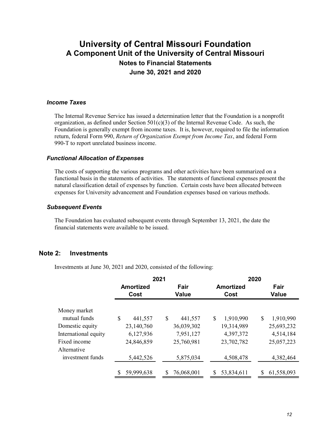#### Income Taxes

The Internal Revenue Service has issued a determination letter that the Foundation is a nonprofit organization, as defined under Section  $501(c)(3)$  of the Internal Revenue Code. As such, the Foundation is generally exempt from income taxes. It is, however, required to file the information return, federal Form 990, Return of Organization Exempt from Income Tax, and federal Form 990-T to report unrelated business income.

#### Functional Allocation of Expenses

#### Subsequent Events

#### Note 2: Investments

| ram, isasian i 6mm 229, iscuim of Organization Exempl from meome Tux, and isasian i 6mm<br>90-T to report unrelated business income.                                                                                                                                                                                                                                                        |                   |                      |                          |                           |  |  |
|---------------------------------------------------------------------------------------------------------------------------------------------------------------------------------------------------------------------------------------------------------------------------------------------------------------------------------------------------------------------------------------------|-------------------|----------------------|--------------------------|---------------------------|--|--|
| ctional Allocation of Expenses                                                                                                                                                                                                                                                                                                                                                              |                   |                      |                          |                           |  |  |
| he costs of supporting the various programs and other activities have been summarized on a<br>unctional basis in the statements of activities. The statements of functional expenses present the<br>atural classification detail of expenses by function. Certain costs have been allocated between<br>xpenses for University advancement and Foundation expenses based on various methods. |                   |                      |                          |                           |  |  |
| sequent Events                                                                                                                                                                                                                                                                                                                                                                              |                   |                      |                          |                           |  |  |
| he Foundation has evaluated subsequent events through September 13, 2021, the date the<br>nancial statements were available to be issued.                                                                                                                                                                                                                                                   |                   |                      |                          |                           |  |  |
|                                                                                                                                                                                                                                                                                                                                                                                             |                   |                      |                          |                           |  |  |
| <b>Investments</b>                                                                                                                                                                                                                                                                                                                                                                          |                   |                      |                          |                           |  |  |
| nvestments at June 30, 2021 and 2020, consisted of the following:                                                                                                                                                                                                                                                                                                                           |                   |                      |                          |                           |  |  |
|                                                                                                                                                                                                                                                                                                                                                                                             | 2021              |                      |                          | 2020                      |  |  |
|                                                                                                                                                                                                                                                                                                                                                                                             | Amortized<br>Cost | Fair<br><b>Value</b> | <b>Amortized</b><br>Cost | Fair<br><b>Value</b>      |  |  |
| Money market                                                                                                                                                                                                                                                                                                                                                                                |                   |                      |                          |                           |  |  |
| mutual funds                                                                                                                                                                                                                                                                                                                                                                                | \$<br>441,557     | \$<br>441,557        | 1,910,990<br>S.          | 1,910,990<br><sup>S</sup> |  |  |
| Domestic equity                                                                                                                                                                                                                                                                                                                                                                             | 23,140,760        | 36,039,302           | 19,314,989               | 25,693,232                |  |  |
| International equity                                                                                                                                                                                                                                                                                                                                                                        | 6,127,936         | 7,951,127            | 4,397,372                | 4,514,184                 |  |  |
| Fixed income                                                                                                                                                                                                                                                                                                                                                                                | 24,846,859        | 25,760,981           | 23,702,782               | 25,057,223                |  |  |
| Alternative<br>investment funds                                                                                                                                                                                                                                                                                                                                                             | 5,442,526         | 5,875,034            | 4,508,478                | 4,382,464                 |  |  |
|                                                                                                                                                                                                                                                                                                                                                                                             | \$59,999,638      | 76,068,001           | 53,834,611               | 61,558,093                |  |  |
|                                                                                                                                                                                                                                                                                                                                                                                             |                   |                      |                          |                           |  |  |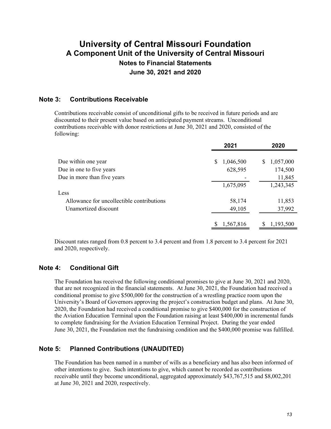### Note 3: Contributions Receivable

Contributions receivable consist of unconditional gifts to be received in future periods and are discounted to their present value based on anticipated payment streams. Unconditional contributions receivable with donor restrictions at June 30, 2021 and 2020, consisted of the following:

|                                           | 2021            | 2020            |
|-------------------------------------------|-----------------|-----------------|
| Due within one year                       | 1,046,500<br>\$ | 1,057,000<br>S. |
| Due in one to five years                  | 628,595         | 174,500         |
| Due in more than five years               |                 | 11,845          |
|                                           | 1,675,095       | 1,243,345       |
| Less                                      |                 |                 |
| Allowance for uncollectible contributions | 58,174          | 11,853          |
| Unamortized discount                      | 49,105          | 37,992          |
|                                           | 1,567,816       | 1,193,500       |

Discount rates ranged from 0.8 percent to 3.4 percent and from 1.8 percent to 3.4 percent for 2021 and 2020, respectively.

### Note 4: Conditional Gift

The Foundation has received the following conditional promises to give at June 30, 2021 and 2020, that are not recognized in the financial statements. At June 30, 2021, the Foundation had received a conditional promise to give \$500,000 for the construction of a wrestling practice room upon the University's Board of Governors approving the project's construction budget and plans. At June 30, 2020, the Foundation had received a conditional promise to give \$400,000 for the construction of the Aviation Education Terminal upon the Foundation raising at least \$400,000 in incremental funds to complete fundraising for the Aviation Education Terminal Project. During the year ended June 30, 2021, the Foundation met the fundraising condition and the \$400,000 promise was fulfilled.

### Note 5: Planned Contributions (UNAUDITED)

The Foundation has been named in a number of wills as a beneficiary and has also been informed of other intentions to give. Such intentions to give, which cannot be recorded as contributions receivable until they become unconditional, aggregated approximately \$43,767,515 and \$8,002,201 at June 30, 2021 and 2020, respectively.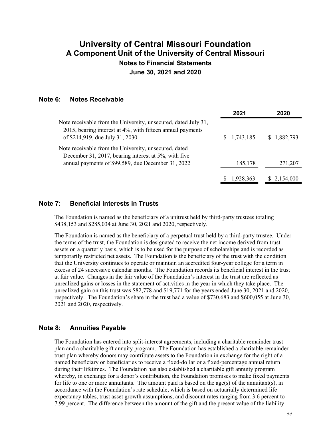#### Note 6: Notes Receivable

|                                                                                                                                                                 | 2021            | 2020        |
|-----------------------------------------------------------------------------------------------------------------------------------------------------------------|-----------------|-------------|
| Note receivable from the University, unsecured, dated July 31,<br>2015, bearing interest at 4%, with fifteen annual payments<br>of \$214,919, due July 31, 2030 | 1,743,185<br>S. | \$1,882,793 |
| Note receivable from the University, unsecured, dated<br>December 31, 2017, bearing interest at 5%, with five                                                   |                 |             |
| annual payments of \$99,589, due December 31, 2022                                                                                                              | 185,178         | 271,207     |
|                                                                                                                                                                 | .928.363        | \$2,154,000 |

#### Note 7: Beneficial Interests in Trusts

The Foundation is named as the beneficiary of a unitrust held by third-party trustees totaling \$438,153 and \$285,034 at June 30, 2021 and 2020, respectively.

The Foundation is named as the beneficiary of a perpetual trust held by a third-party trustee. Under the terms of the trust, the Foundation is designated to receive the net income derived from trust assets on a quarterly basis, which is to be used for the purpose of scholarships and is recorded as temporarily restricted net assets. The Foundation is the beneficiary of the trust with the condition that the University continues to operate or maintain an accredited four-year college for a term in excess of 24 successive calendar months. The Foundation records its beneficial interest in the trust at fair value. Changes in the fair value of the Foundation's interest in the trust are reflected as unrealized gains or losses in the statement of activities in the year in which they take place. The unrealized gain on this trust was \$82,778 and \$19,771 for the years ended June 30, 2021 and 2020, respectively. The Foundation's share in the trust had a value of \$730,683 and \$600,055 at June 30, 2021 and 2020, respectively.

#### Note 8: Annuities Payable

The Foundation has entered into split-interest agreements, including a charitable remainder trust plan and a charitable gift annuity program. The Foundation has established a charitable remainder trust plan whereby donors may contribute assets to the Foundation in exchange for the right of a named beneficiary or beneficiaries to receive a fixed-dollar or a fixed-percentage annual return during their lifetimes. The Foundation has also established a charitable gift annuity program whereby, in exchange for a donor's contribution, the Foundation promises to make fixed payments for life to one or more annuitants. The amount paid is based on the age(s) of the annuitant(s), in accordance with the Foundation's rate schedule, which is based on actuarially determined life expectancy tables, trust asset growth assumptions, and discount rates ranging from 3.6 percent to 7.99 percent. The difference between the amount of the gift and the present value of the liability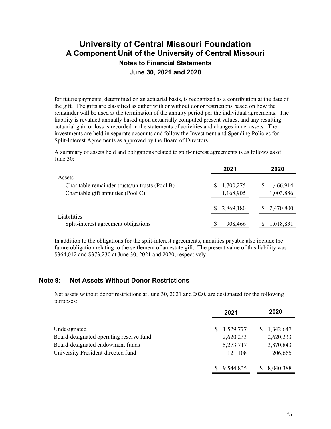| <u>UNIVERSITY OF GENTRAL MISSOUIT FOUNDATION</u><br>A Component Unit of the University of Central Missouri<br><b>Notes to Financial Statements</b><br>June 30, 2021 and 2020                                                                                                                                                                                                                                                                                                                                                                                                                                                                                                                                                                                                             |                        |                        |  |
|------------------------------------------------------------------------------------------------------------------------------------------------------------------------------------------------------------------------------------------------------------------------------------------------------------------------------------------------------------------------------------------------------------------------------------------------------------------------------------------------------------------------------------------------------------------------------------------------------------------------------------------------------------------------------------------------------------------------------------------------------------------------------------------|------------------------|------------------------|--|
| or future payments, determined on an actuarial basis, is recognized as a contribution at the date of<br>ne gift. The gifts are classified as either with or without donor restrictions based on how the<br>emainder will be used at the termination of the annuity period per the individual agreements. The<br>ability is revalued annually based upon actuarially computed present values, and any resulting<br>ctuarial gain or loss is recorded in the statements of activities and changes in net assets. The<br>nvestments are held in separate accounts and follow the Investment and Spending Policies for<br>plit-Interest Agreements as approved by the Board of Directors.<br>summary of assets held and obligations related to split-interest agreements is as follows as of |                        |                        |  |
| une 30:                                                                                                                                                                                                                                                                                                                                                                                                                                                                                                                                                                                                                                                                                                                                                                                  |                        |                        |  |
|                                                                                                                                                                                                                                                                                                                                                                                                                                                                                                                                                                                                                                                                                                                                                                                          | 2021                   | 2020                   |  |
| Assets<br>Charitable remainder trusts/unitrusts (Pool B)<br>Charitable gift annuities (Pool C)                                                                                                                                                                                                                                                                                                                                                                                                                                                                                                                                                                                                                                                                                           | 1,700,275<br>1,168,905 | 1,466,914<br>1,003,886 |  |
| Liabilities                                                                                                                                                                                                                                                                                                                                                                                                                                                                                                                                                                                                                                                                                                                                                                              | 2,869,180              | 2,470,800              |  |
| Split-interest agreement obligations                                                                                                                                                                                                                                                                                                                                                                                                                                                                                                                                                                                                                                                                                                                                                     | 908,466                | 1,018,831              |  |
|                                                                                                                                                                                                                                                                                                                                                                                                                                                                                                                                                                                                                                                                                                                                                                                          |                        |                        |  |

In addition to the obligations for the split-interest agreements, annuities payable also include the future obligation relating to the settlement of an estate gift. The present value of this liability was \$364,012 and \$373,230 at June 30, 2021 and 2020, respectively.

#### Note 9: Net Assets Without Donor Restrictions

Net assets without donor restrictions at June 30, 2021 and 2020, are designated for the following purposes:

|                                         | 2021        | 2020        |
|-----------------------------------------|-------------|-------------|
| Undesignated                            | \$1,529,777 | \$1,342,647 |
|                                         |             |             |
| Board-designated operating reserve fund | 2,620,233   | 2,620,233   |
| Board-designated endowment funds        | 5,273,717   | 3,870,843   |
| University President directed fund      | 121,108     | 206,665     |
|                                         |             |             |
|                                         | \$9,544,835 | \$8,040,388 |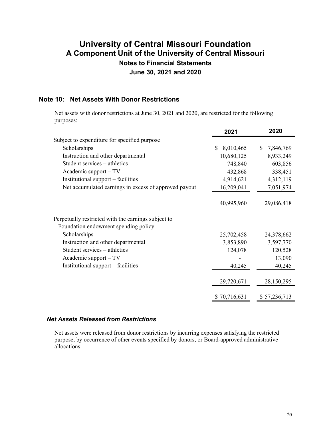### Note 10: Net Assets With Donor Restrictions

Net assets with donor restrictions at June 30, 2021 and 2020, are restricted for the following purposes:

|                                                       | 2021             | 2020            |
|-------------------------------------------------------|------------------|-----------------|
| Subject to expenditure for specified purpose          |                  |                 |
| Scholarships                                          | 8,010,465<br>\$. | 7,846,769<br>S. |
| Instruction and other departmental                    | 10,680,125       | 8,933,249       |
| Student services – athletics                          | 748,840          | 603,856         |
| Academic support $- TV$                               | 432,868          | 338,451         |
| Institutional support – facilities                    | 4,914,621        | 4,312,119       |
| Net accumulated earnings in excess of approved payout | 16,209,041       | 7,051,974       |
|                                                       | 40,995,960       | 29,086,418      |
| Perpetually restricted with the earnings subject to   |                  |                 |
| Foundation endowment spending policy                  |                  |                 |
| Scholarships                                          | 25,702,458       | 24,378,662      |
| Instruction and other departmental                    | 3,853,890        | 3,597,770       |
| Student services – athletics                          | 124,078          | 120,528         |
| Academic support $- TV$                               |                  | 13,090          |
| Institutional support – facilities                    | 40,245           | 40,245          |
|                                                       | 29,720,671       | 28,150,295      |
|                                                       | \$70,716,631     | \$57,236,713    |

#### Net Assets Released from Restrictions

Net assets were released from donor restrictions by incurring expenses satisfying the restricted purpose, by occurrence of other events specified by donors, or Board-approved administrative allocations.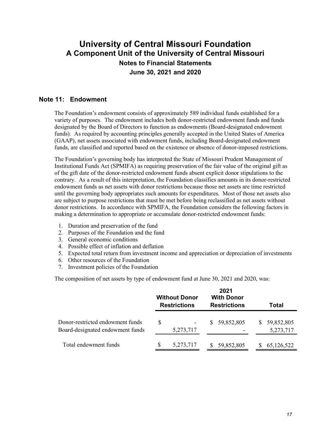### Note 11: Endowment

The Foundation's endowment consists of approximately 589 individual funds established for a variety of purposes. The endowment includes both donor-restricted endowment funds and funds designated by the Board of Directors to function as endowments (Board-designated endowment funds). As required by accounting principles generally accepted in the United States of America (GAAP), net assets associated with endowment funds, including Board-designated endowment funds, are classified and reported based on the existence or absence of donor-imposed restrictions.

The Foundation's governing body has interpreted the State of Missouri Prudent Management of Institutional Funds Act (SPMIFA) as requiring preservation of the fair value of the original gift as of the gift date of the donor-restricted endowment funds absent explicit donor stipulations to the contrary. As a result of this interpretation, the Foundation classifies amounts in its donor-restricted endowment funds as net assets with donor restrictions because those net assets are time restricted until the governing body appropriates such amounts for expenditures. Most of those net assets also are subject to purpose restrictions that must be met before being reclassified as net assets without donor restrictions. In accordance with SPMIFA, the Foundation considers the following factors in making a determination to appropriate or accumulate donor-restricted endowment funds:

- 1. Duration and preservation of the fund
- 2. Purposes of the Foundation and the fund
- 3. General economic conditions
- 4. Possible effect of inflation and deflation
- 5. Expected total return from investment income and appreciation or depreciation of investments
- 6. Other resources of the Foundation
- 7. Investment policies of the Foundation

| nstitutional Funds Act (SPMIFA) as requiring preservation of the fair value of the original gift as<br>f the gift date of the donor-restricted endowment funds absent explicit donor stipulations to the<br>ontrary. As a result of this interpretation, the Foundation classifies amounts in its donor-restricted<br>ndowment funds as net assets with donor restrictions because those net assets are time restricted<br>ntil the governing body appropriates such amounts for expenditures. Most of those net assets also<br>re subject to purpose restrictions that must be met before being reclassified as net assets without<br>onor restrictions. In accordance with SPMIFA, the Foundation considers the following factors in<br>raking a determination to appropriate or accumulate donor-restricted endowment funds: |                                             |                                                  |                               |
|---------------------------------------------------------------------------------------------------------------------------------------------------------------------------------------------------------------------------------------------------------------------------------------------------------------------------------------------------------------------------------------------------------------------------------------------------------------------------------------------------------------------------------------------------------------------------------------------------------------------------------------------------------------------------------------------------------------------------------------------------------------------------------------------------------------------------------|---------------------------------------------|--------------------------------------------------|-------------------------------|
| 1. Duration and preservation of the fund<br>Purposes of the Foundation and the fund<br>2.<br>General economic conditions<br>3.<br>Possible effect of inflation and deflation<br>4.<br>Expected total return from investment income and appreciation or depreciation of investments<br>5.<br>6. Other resources of the Foundation<br>7. Investment policies of the Foundation                                                                                                                                                                                                                                                                                                                                                                                                                                                    |                                             |                                                  |                               |
| he composition of net assets by type of endowment fund at June 30, 2021 and 2020, was:                                                                                                                                                                                                                                                                                                                                                                                                                                                                                                                                                                                                                                                                                                                                          |                                             |                                                  |                               |
|                                                                                                                                                                                                                                                                                                                                                                                                                                                                                                                                                                                                                                                                                                                                                                                                                                 | <b>Without Donor</b><br><b>Restrictions</b> | 2021<br><b>With Donor</b><br><b>Restrictions</b> | <b>Total</b>                  |
| Donor-restricted endowment funds<br>Board-designated endowment funds                                                                                                                                                                                                                                                                                                                                                                                                                                                                                                                                                                                                                                                                                                                                                            | \$<br>5,273,717                             | 59,852,805                                       | 59,852,805<br>S.<br>5,273,717 |
| Total endowment funds                                                                                                                                                                                                                                                                                                                                                                                                                                                                                                                                                                                                                                                                                                                                                                                                           | 5,273,717                                   | 59,852,805<br>S.                                 | \$65,126,522                  |
|                                                                                                                                                                                                                                                                                                                                                                                                                                                                                                                                                                                                                                                                                                                                                                                                                                 |                                             |                                                  |                               |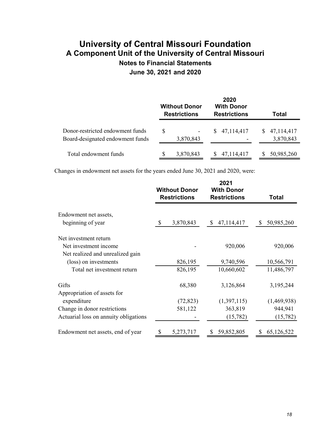|                                                                                 | <b>Notes to Financial Statements</b><br>June 30, 2021 and 2020 |                                                  |                           |
|---------------------------------------------------------------------------------|----------------------------------------------------------------|--------------------------------------------------|---------------------------|
|                                                                                 |                                                                |                                                  |                           |
|                                                                                 | <b>Without Donor</b><br><b>Restrictions</b>                    | 2020<br><b>With Donor</b><br><b>Restrictions</b> | <b>Total</b>              |
| Donor-restricted endowment funds<br>Board-designated endowment funds            | $\mathbb{S}$<br>$\blacksquare$<br>3,870,843                    | \$47,114,417                                     | \$47,114,417<br>3,870,843 |
| Total endowment funds                                                           | 3,870,843<br><sup>8</sup>                                      | 47,114,417<br>\$                                 | 50,985,260<br>\$          |
| anges in endowment net assets for the years ended June 30, 2021 and 2020, were: |                                                                |                                                  |                           |
|                                                                                 |                                                                | 2021                                             |                           |

|                                                                                   | <b>Without Donor</b><br><b>Restrictions</b> | 2020<br><b>With Donor</b><br><b>Restrictions</b> | <b>Total</b>                 |
|-----------------------------------------------------------------------------------|---------------------------------------------|--------------------------------------------------|------------------------------|
| Donor-restricted endowment funds<br>Board-designated endowment funds              | \$<br>3,870,843                             | 47,114,417<br>S                                  | 47,114,417<br>S<br>3,870,843 |
| Total endowment funds                                                             | 3,870,843<br>\$                             | 47,114,417<br>\$                                 | 50,985,260                   |
| Changes in endowment net assets for the years ended June 30, 2021 and 2020, were: |                                             |                                                  |                              |
|                                                                                   | <b>Without Donor</b><br><b>Restrictions</b> | 2021<br><b>With Donor</b><br><b>Restrictions</b> | <b>Total</b>                 |
| Endowment net assets,                                                             |                                             |                                                  |                              |
| beginning of year                                                                 | 3,870,843<br>$\mathbb{S}$                   | 47,114,417<br><sup>S</sup>                       | 50,985,260<br>\$             |
| Net investment return                                                             |                                             |                                                  |                              |
| Net investment income                                                             |                                             | 920,006                                          | 920,006                      |
| Net realized and unrealized gain                                                  |                                             |                                                  |                              |
| (loss) on investments                                                             | 826,195                                     | 9,740,596                                        | 10,566,791                   |
| Total net investment return                                                       | 826,195                                     | 10,660,602                                       | 11,486,797                   |
| Gifts                                                                             | 68,380                                      | 3,126,864                                        | 3,195,244                    |
| Appropriation of assets for                                                       |                                             |                                                  |                              |
| expenditure                                                                       | (72, 823)                                   | (1,397,115)                                      | (1,469,938)                  |
|                                                                                   | 581,122                                     | 363,819                                          | 944,941                      |
| Change in donor restrictions                                                      |                                             |                                                  |                              |
| Actuarial loss on annuity obligations                                             |                                             | (15,782)                                         | (15,782)                     |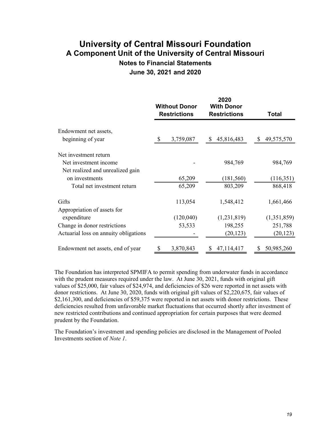|                                                           |              | <b>Without Donor</b><br><b>Restrictions</b> | 2020<br><b>With Donor</b><br><b>Restrictions</b> | <b>Total</b> |
|-----------------------------------------------------------|--------------|---------------------------------------------|--------------------------------------------------|--------------|
|                                                           |              |                                             |                                                  |              |
| Endowment net assets,<br>beginning of year                | <sup>8</sup> | 3,759,087                                   | \$45,816,483                                     | \$49,575,570 |
| Net investment return                                     |              |                                             |                                                  |              |
| Net investment income<br>Net realized and unrealized gain |              |                                             | 984,769                                          | 984,769      |
| on investments                                            |              | 65,209                                      | (181, 560)                                       | (116,351)    |
| Total net investment return                               |              | 65,209                                      | 803,209                                          | 868,418      |
| Gifts                                                     |              | 113,054                                     | 1,548,412                                        | 1,661,466    |
| Appropriation of assets for                               |              |                                             |                                                  |              |
| expenditure                                               |              | (120,040)                                   | (1, 231, 819)                                    | (1,351,859)  |
| Change in donor restrictions                              |              | 53,533                                      | 198,255                                          | 251,788      |
| Actuarial loss on annuity obligations                     |              |                                             | (20, 123)                                        | (20, 123)    |
| Endowment net assets, end of year                         | <sup>2</sup> | 3,870,843                                   | 47,114,417<br>$\mathcal{S}$                      | \$50,985,260 |

The Foundation has interpreted SPMIFA to permit spending from underwater funds in accordance with the prudent measures required under the law. At June 30, 2021, funds with original gift values of \$25,000, fair values of \$24,974, and deficiencies of \$26 were reported in net assets with donor restrictions. At June 30, 2020, funds with original gift values of \$2,220,675, fair values of \$2,161,300, and deficiencies of \$59,375 were reported in net assets with donor restrictions. These deficiencies resulted from unfavorable market fluctuations that occurred shortly after investment of new restricted contributions and continued appropriation for certain purposes that were deemed prudent by the Foundation.

The Foundation's investment and spending policies are disclosed in the Management of Pooled Investments section of Note 1.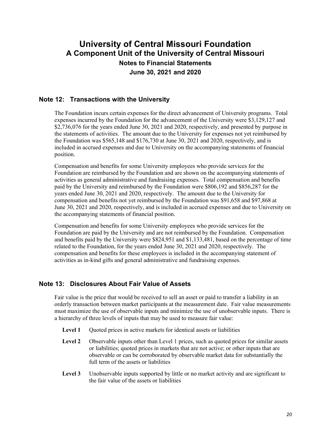### Note 12: Transactions with the University

The Foundation incurs certain expenses for the direct advancement of University programs. Total expenses incurred by the Foundation for the advancement of the University were \$3,129,127 and \$2,736,076 for the years ended June 30, 2021 and 2020, respectively, and presented by purpose in the statements of activities. The amount due to the University for expenses not yet reimbursed by the Foundation was \$565,148 and \$176,730 at June 30, 2021 and 2020, respectively, and is included in accrued expenses and due to University on the accompanying statements of financial position.

Compensation and benefits for some University employees who provide services for the Foundation are reimbursed by the Foundation and are shown on the accompanying statements of activities as general administrative and fundraising expenses. Total compensation and benefits paid by the University and reimbursed by the Foundation were \$806,192 and \$856,287 for the years ended June 30, 2021 and 2020, respectively. The amount due to the University for compensation and benefits not yet reimbursed by the Foundation was \$91,658 and \$97,868 at June 30, 2021 and 2020, respectively, and is included in accrued expenses and due to University on the accompanying statements of financial position.

Compensation and benefits for some University employees who provide services for the Foundation are paid by the University and are not reimbursed by the Foundation. Compensation and benefits paid by the University were \$824,951 and \$1,133,481, based on the percentage of time related to the Foundation, for the years ended June 30, 2021 and 2020, respectively. The compensation and benefits for these employees is included in the accompanying statement of activities as in-kind gifts and general administrative and fundraising expenses.

### Note 13: Disclosures About Fair Value of Assets

Fair value is the price that would be received to sell an asset or paid to transfer a liability in an orderly transaction between market participants at the measurement date. Fair value measurements must maximize the use of observable inputs and minimize the use of unobservable inputs. There is a hierarchy of three levels of inputs that may be used to measure fair value:

- Level 1 Quoted prices in active markets for identical assets or liabilities
- Level 2 Observable inputs other than Level 1 prices, such as quoted prices for similar assets or liabilities; quoted prices in markets that are not active; or other inputs that are observable or can be corroborated by observable market data for substantially the full term of the assets or liabilities
- Level 3 Unobservable inputs supported by little or no market activity and are significant to the fair value of the assets or liabilities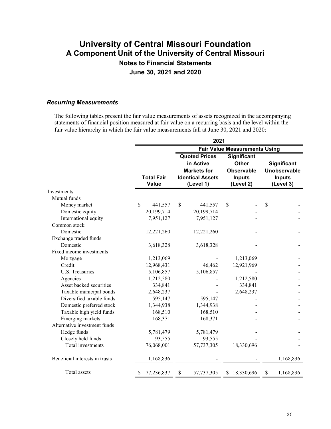#### Recurring Measurements

|                                                                                                                                                                                                                                                                                                         | <b>Notes to Financial Statements</b><br>June 30, 2021 and 2020 | A Component Unit of the University of Central Missouri                                          |                                                                                |                                                                  |
|---------------------------------------------------------------------------------------------------------------------------------------------------------------------------------------------------------------------------------------------------------------------------------------------------------|----------------------------------------------------------------|-------------------------------------------------------------------------------------------------|--------------------------------------------------------------------------------|------------------------------------------------------------------|
| <b>Recurring Measurements</b>                                                                                                                                                                                                                                                                           |                                                                |                                                                                                 |                                                                                |                                                                  |
| The following tables present the fair value measurements of assets recognized in the accompanying<br>statements of financial position measured at fair value on a recurring basis and the level within the<br>fair value hierarchy in which the fair value measurements fall at June 30, 2021 and 2020: |                                                                |                                                                                                 |                                                                                |                                                                  |
|                                                                                                                                                                                                                                                                                                         |                                                                | 2021                                                                                            |                                                                                |                                                                  |
|                                                                                                                                                                                                                                                                                                         |                                                                |                                                                                                 | <b>Fair Value Measurements Using</b>                                           |                                                                  |
|                                                                                                                                                                                                                                                                                                         | <b>Total Fair</b><br><b>Value</b>                              | <b>Quoted Prices</b><br>in Active<br><b>Markets for</b><br><b>Identical Assets</b><br>(Level 1) | Significant<br><b>Other</b><br><b>Observable</b><br><b>Inputs</b><br>(Level 2) | <b>Significant</b><br>Unobservable<br><b>Inputs</b><br>(Level 3) |
| Investments                                                                                                                                                                                                                                                                                             |                                                                |                                                                                                 |                                                                                |                                                                  |
| Mutual funds                                                                                                                                                                                                                                                                                            |                                                                |                                                                                                 |                                                                                |                                                                  |
| Money market                                                                                                                                                                                                                                                                                            | 441,557                                                        | \$<br>441,557                                                                                   | \$                                                                             | \$                                                               |
| Domestic equity                                                                                                                                                                                                                                                                                         | 20,199,714                                                     | 20,199,714                                                                                      |                                                                                |                                                                  |
| International equity                                                                                                                                                                                                                                                                                    | 7,951,127                                                      | 7,951,127                                                                                       |                                                                                |                                                                  |
| Common stock                                                                                                                                                                                                                                                                                            |                                                                |                                                                                                 |                                                                                |                                                                  |
| Domestic                                                                                                                                                                                                                                                                                                | 12,221,260                                                     | 12,221,260                                                                                      |                                                                                |                                                                  |
| Exchange traded funds                                                                                                                                                                                                                                                                                   |                                                                |                                                                                                 |                                                                                |                                                                  |
| Domestic                                                                                                                                                                                                                                                                                                | 3,618,328                                                      | 3,618,328                                                                                       |                                                                                |                                                                  |
| Fixed income investments                                                                                                                                                                                                                                                                                |                                                                |                                                                                                 |                                                                                |                                                                  |
| Mortgage                                                                                                                                                                                                                                                                                                | 1,213,069                                                      |                                                                                                 | 1,213,069                                                                      |                                                                  |
| Credit                                                                                                                                                                                                                                                                                                  | 12,968,431                                                     | 46,462                                                                                          | 12,921,969                                                                     |                                                                  |
| <b>U.S. Treasuries</b>                                                                                                                                                                                                                                                                                  | 5,106,857                                                      | 5,106,857                                                                                       |                                                                                |                                                                  |
| Agencies                                                                                                                                                                                                                                                                                                | 1,212,580                                                      |                                                                                                 | 1,212,580                                                                      |                                                                  |
| Asset backed securities                                                                                                                                                                                                                                                                                 | 334,841                                                        |                                                                                                 | 334,841                                                                        |                                                                  |
| Taxable municipal bonds                                                                                                                                                                                                                                                                                 | 2,648,237                                                      |                                                                                                 | 2,648,237                                                                      |                                                                  |
| Diversified taxable funds                                                                                                                                                                                                                                                                               | 595,147                                                        | 595,147                                                                                         |                                                                                |                                                                  |
| Domestic preferred stock                                                                                                                                                                                                                                                                                | 1,344,938                                                      | 1,344,938                                                                                       |                                                                                |                                                                  |
| Taxable high yield funds                                                                                                                                                                                                                                                                                | 168,510                                                        | 168,510                                                                                         |                                                                                |                                                                  |
| Emerging markets                                                                                                                                                                                                                                                                                        | 168,371                                                        | 168,371                                                                                         |                                                                                |                                                                  |
| Alternative investment funds                                                                                                                                                                                                                                                                            |                                                                |                                                                                                 |                                                                                |                                                                  |
| Hedge funds                                                                                                                                                                                                                                                                                             | 5,781,479                                                      | 5,781,479                                                                                       |                                                                                |                                                                  |
| Closely held funds                                                                                                                                                                                                                                                                                      | 93,555                                                         | 93,555                                                                                          |                                                                                |                                                                  |
| Total investments                                                                                                                                                                                                                                                                                       | 76,068,001                                                     | 57,737,305                                                                                      | 18,330,696                                                                     |                                                                  |
|                                                                                                                                                                                                                                                                                                         | 1,168,836                                                      |                                                                                                 |                                                                                | 1,168,836                                                        |
| Beneficial interests in trusts                                                                                                                                                                                                                                                                          |                                                                |                                                                                                 |                                                                                |                                                                  |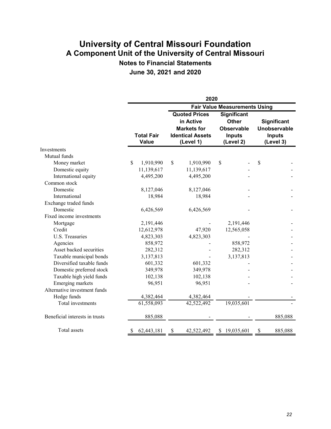| A Component Unit of the University of Central Missouri | <b>Notes to Financial Statements</b><br>June 30, 2021 and 2020 | <b>University of Central Missouri Foundation</b> |                                      |                            |
|--------------------------------------------------------|----------------------------------------------------------------|--------------------------------------------------|--------------------------------------|----------------------------|
|                                                        |                                                                |                                                  |                                      |                            |
|                                                        |                                                                |                                                  |                                      |                            |
|                                                        |                                                                |                                                  |                                      |                            |
|                                                        |                                                                |                                                  |                                      |                            |
|                                                        |                                                                |                                                  |                                      |                            |
|                                                        |                                                                |                                                  |                                      |                            |
|                                                        |                                                                |                                                  |                                      |                            |
|                                                        |                                                                | 2020                                             |                                      |                            |
|                                                        |                                                                |                                                  | <b>Fair Value Measurements Using</b> |                            |
|                                                        |                                                                | <b>Quoted Prices</b>                             | Significant                          |                            |
|                                                        |                                                                | in Active                                        | <b>Other</b>                         | <b>Significant</b>         |
|                                                        |                                                                | <b>Markets for</b>                               | <b>Observable</b>                    | Unobservable               |
|                                                        | <b>Total Fair</b><br><b>Value</b>                              | <b>Identical Assets</b><br>(Level 1)             | <b>Inputs</b><br>(Level 2)           | <b>Inputs</b><br>(Level 3) |
| Investments                                            |                                                                |                                                  |                                      |                            |
| Mutual funds                                           |                                                                |                                                  |                                      |                            |
| Money market                                           | 1,910,990                                                      | \$<br>1,910,990                                  | $\$$                                 | $\mathcal{S}$              |
| Domestic equity                                        | 11,139,617                                                     | 11,139,617                                       |                                      |                            |
| International equity                                   | 4,495,200                                                      | 4,495,200                                        |                                      |                            |
| Common stock                                           |                                                                |                                                  |                                      |                            |
| Domestic                                               | 8,127,046                                                      | 8,127,046                                        |                                      |                            |
| International                                          | 18,984                                                         | 18,984                                           |                                      |                            |
| Exchange traded funds                                  |                                                                |                                                  |                                      |                            |
| Domestic                                               | 6,426,569                                                      | 6,426,569                                        |                                      |                            |
| Fixed income investments<br>Mortgage                   | 2,191,446                                                      |                                                  | 2,191,446                            |                            |
| Credit                                                 | 12,612,978                                                     | 47,920                                           | 12,565,058                           |                            |
| U.S. Treasuries                                        | 4,823,303                                                      | 4,823,303                                        |                                      |                            |
| Agencies                                               | 858,972                                                        |                                                  | 858,972                              |                            |
| Asset backed securities                                | 282,312                                                        |                                                  | 282,312                              |                            |
| Taxable municipal bonds                                | 3,137,813                                                      | $\blacksquare$                                   | 3,137,813                            |                            |
| Diversified taxable funds                              | 601,332                                                        | 601,332                                          |                                      |                            |
| Domestic preferred stock                               | 349,978                                                        | 349,978                                          |                                      |                            |
| Taxable high yield funds                               | 102,138                                                        | 102,138                                          |                                      |                            |
| Emerging markets                                       | 96,951                                                         | 96,951                                           |                                      |                            |
| Alternative investment funds                           |                                                                |                                                  |                                      |                            |
| Hedge funds<br>Total investments                       | 4,382,464<br>61,558,093                                        | 4,382,464<br>42,522,492                          | 19,035,601                           |                            |
|                                                        |                                                                |                                                  |                                      |                            |
| Beneficial interests in trusts                         | 885,088                                                        |                                                  |                                      | 885,088                    |
| Total assets                                           | 62,443,181                                                     | 42,522,492<br>\$                                 | \$19,035,601                         | 885,088<br>\$              |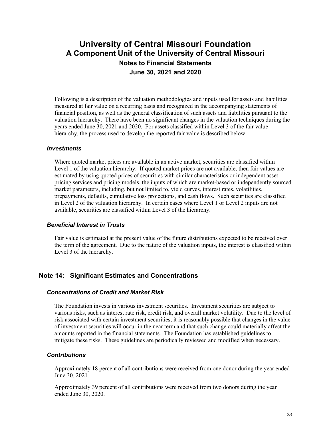Following is a description of the valuation methodologies and inputs used for assets and liabilities measured at fair value on a recurring basis and recognized in the accompanying statements of financial position, as well as the general classification of such assets and liabilities pursuant to the valuation hierarchy. There have been no significant changes in the valuation techniques during the years ended June 30, 2021 and 2020. For assets classified within Level 3 of the fair value hierarchy, the process used to develop the reported fair value is described below.

#### Investments

Where quoted market prices are available in an active market, securities are classified within Level 1 of the valuation hierarchy. If quoted market prices are not available, then fair values are estimated by using quoted prices of securities with similar characteristics or independent asset pricing services and pricing models, the inputs of which are market-based or independently sourced market parameters, including, but not limited to, yield curves, interest rates, volatilities, prepayments, defaults, cumulative loss projections, and cash flows. Such securities are classified in Level 2 of the valuation hierarchy. In certain cases where Level 1 or Level 2 inputs are not available, securities are classified within Level 3 of the hierarchy.

#### Beneficial Interest in Trusts

Fair value is estimated at the present value of the future distributions expected to be received over the term of the agreement. Due to the nature of the valuation inputs, the interest is classified within Level 3 of the hierarchy.

### Note 14: Significant Estimates and Concentrations

#### Concentrations of Credit and Market Risk

The Foundation invests in various investment securities. Investment securities are subject to various risks, such as interest rate risk, credit risk, and overall market volatility. Due to the level of risk associated with certain investment securities, it is reasonably possible that changes in the value of investment securities will occur in the near term and that such change could materially affect the amounts reported in the financial statements. The Foundation has established guidelines to mitigate these risks. These guidelines are periodically reviewed and modified when necessary.

#### **Contributions**

Approximately 18 percent of all contributions were received from one donor during the year ended June 30, 2021.

Approximately 39 percent of all contributions were received from two donors during the year ended June 30, 2020.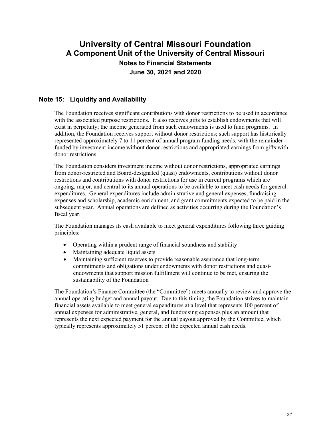### Note 15: Liquidity and Availability

The Foundation receives significant contributions with donor restrictions to be used in accordance with the associated purpose restrictions. It also receives gifts to establish endowments that will exist in perpetuity; the income generated from such endowments is used to fund programs. In addition, the Foundation receives support without donor restrictions; such support has historically represented approximately 7 to 11 percent of annual program funding needs, with the remainder funded by investment income without donor restrictions and appropriated earnings from gifts with donor restrictions.

The Foundation considers investment income without donor restrictions, appropriated earnings from donor-restricted and Board-designated (quasi) endowments, contributions without donor restrictions and contributions with donor restrictions for use in current programs which are ongoing, major, and central to its annual operations to be available to meet cash needs for general expenditures. General expenditures include administrative and general expenses, fundraising expenses and scholarship, academic enrichment, and grant commitments expected to be paid in the subsequent year. Annual operations are defined as activities occurring during the Foundation's fiscal year.

The Foundation manages its cash available to meet general expenditures following three guiding principles:

- Operating within a prudent range of financial soundness and stability
- Maintaining adequate liquid assets
- Maintaining sufficient reserves to provide reasonable assurance that long-term commitments and obligations under endowments with donor restrictions and quasiendowments that support mission fulfillment will continue to be met, ensuring the sustainability of the Foundation

The Foundation's Finance Committee (the "Committee") meets annually to review and approve the annual operating budget and annual payout. Due to this timing, the Foundation strives to maintain financial assets available to meet general expenditures at a level that represents 100 percent of annual expenses for administrative, general, and fundraising expenses plus an amount that represents the next expected payment for the annual payout approved by the Committee, which typically represents approximately 51 percent of the expected annual cash needs.